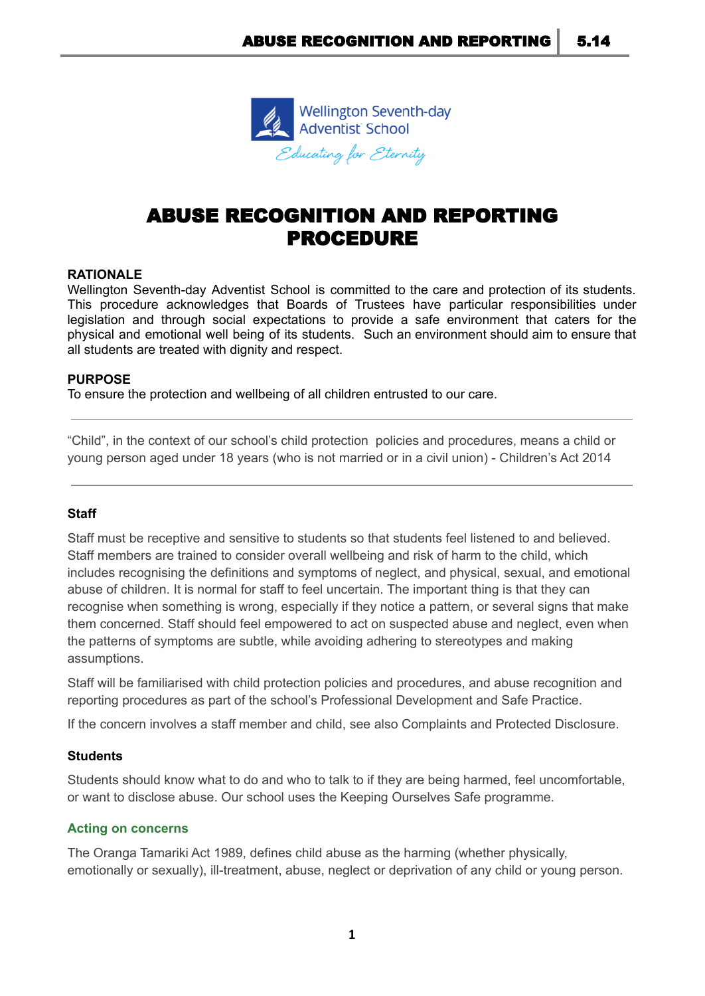

# ABUSE RECOGNITION AND REPORTING PROCEDURE

## **RATIONALE**

Wellington Seventh-day Adventist School is committed to the care and protection of its students. This procedure acknowledges that Boards of Trustees have particular responsibilities under legislation and through social expectations to provide a safe environment that caters for the physical and emotional well being of its students. Such an environment should aim to ensure that all students are treated with dignity and respect.

## **PURPOSE**

To ensure the protection and wellbeing of all children entrusted to our care.

"Child", in the context of our school's child protection policies and procedures, means a child or young person aged under 18 years (who is not married or in a civil union) - Children's Act 2014

#### **Staff**

Staff must be receptive and sensitive to students so that students feel listened to and believed. Staff members are trained to consider overall wellbeing and risk of harm to the child, which includes recognising the definitions and symptoms of neglect, and physical, sexual, and emotional abuse of children. It is normal for staff to feel uncertain. The important thing is that they can recognise when something is wrong, especially if they notice a pattern, or several signs that make them concerned. Staff should feel empowered to act on suspected abuse and neglect, even when the patterns of symptoms are subtle, while avoiding adhering to stereotypes and making assumptions.

Staff will be familiarised with child protection policies and procedures, and abuse recognition and reporting procedures as part of the school's Professional Development and Safe Practice.

If the concern involves a staff member and child, see also Complaints and Protected Disclosure.

#### **Students**

Students should know what to do and who to talk to if they are being harmed, feel uncomfortable, or want to disclose abuse. Our school uses the Keeping Ourselves Safe programme.

#### **Acting on concerns**

The Oranga Tamariki Act 1989, defines child abuse as the harming (whether physically, emotionally or sexually), ill-treatment, abuse, neglect or deprivation of any child or young person.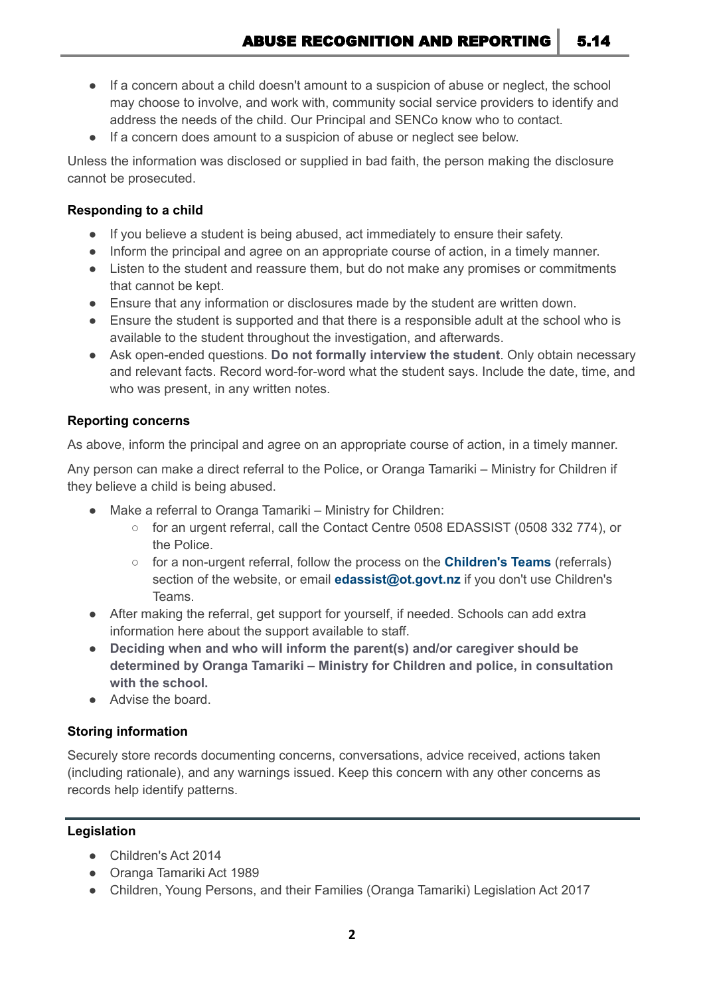- If a concern about a child doesn't amount to a suspicion of abuse or neglect, the school may choose to involve, and work with, community social service providers to identify and address the needs of the child. Our Principal and SENCo know who to contact.
- If a concern does amount to a suspicion of abuse or neglect see below.

Unless the information was disclosed or supplied in bad faith, the person making the disclosure cannot be prosecuted.

# **Responding to a child**

- If you believe a student is being abused, act immediately to ensure their safety.
- Inform the principal and agree on an appropriate course of action, in a timely manner.
- Listen to the student and reassure them, but do not make any promises or commitments that cannot be kept.
- Ensure that any information or disclosures made by the student are written down.
- Ensure the student is supported and that there is a responsible adult at the school who is available to the student throughout the investigation, and afterwards.
- Ask open-ended questions. **Do not formally interview the student**. Only obtain necessary and relevant facts. Record word-for-word what the student says. Include the date, time, and who was present, in any written notes.

# **Reporting concerns**

As above, inform the principal and agree on an appropriate course of action, in a timely manner.

Any person can make a direct referral to the Police, or Oranga Tamariki – Ministry for Children if they believe a child is being abused.

- Make a referral to Oranga Tamariki Ministry for Children:
	- for an urgent referral, call the Contact Centre 0508 EDASSIST (0508 332 774), or the Police.
	- for a non-urgent referral, follow the process on the **[Children's](https://www.orangatamariki.govt.nz/support-for-families/childrens-teams/childrens-teams-contacts/) Teams** (referrals) section of the website, or email **edassist@ot.govt.nz** if you don't use Children's Teams.
- After making the referral, get support for yourself, if needed. Schools can add extra information here about the support available to staff.
- **Deciding when and who will inform the parent(s) and/or caregiver should be determined by Oranga Tamariki – Ministry for Children and police, in consultation with the school.**
- Advise the board.

# **Storing information**

Securely store records documenting concerns, conversations, advice received, actions taken (including rationale), and any warnings issued. Keep this concern with any other concerns as records help identify patterns.

## **[Legislation](http://www.legislation.govt.nz/)**

- Children's Act 2014
- Oranga Tamariki Act 1989
- Children, Young Persons, and their Families (Oranga Tamariki) Legislation Act 2017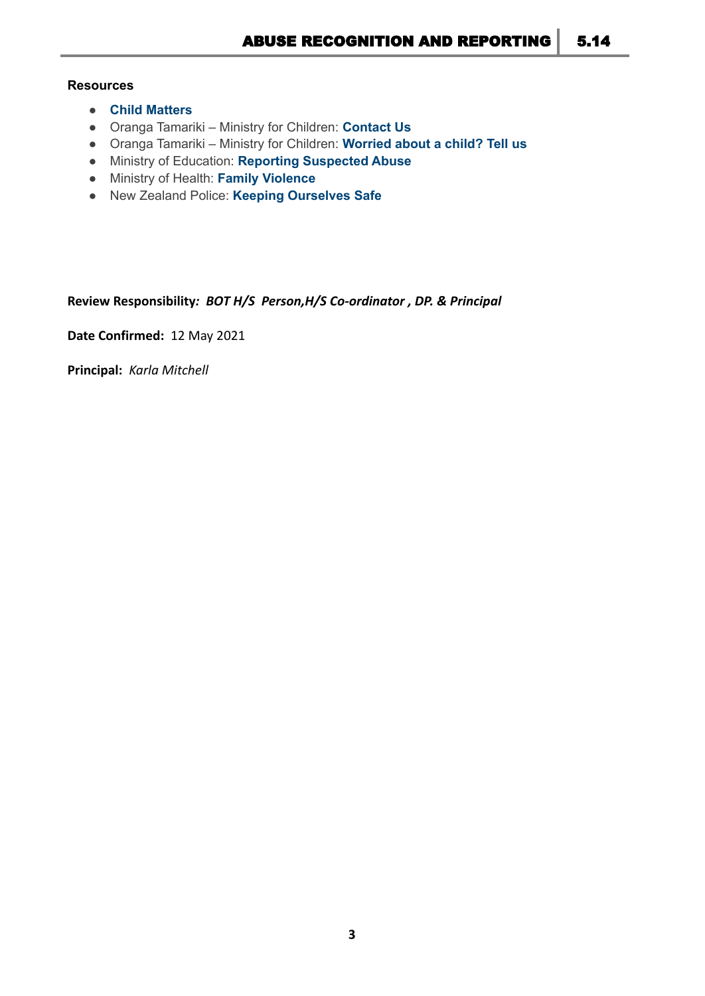## **Resources**

- **Child [Matters](http://www.childmatters.org.nz/)**
- Oranga Tamariki Ministry for Children: **[Contact](https://www.orangatamariki.govt.nz/about-us/contact-us/) Us**
- Oranga Tamariki Ministry for Children: **[Worried](https://www.orangatamariki.govt.nz/worried-about-a-child-tell-us/) about a child? Tell us**
- Ministry of Education: **Reporting [Suspected](https://www.education.govt.nz/school/health-safety-and-wellbeing/pastoral-care-and-wellbeing/reporting-suspected-abuse/) Abuse**
- Ministry of Health: **Family [Violence](http://www.health.govt.nz/our-work/preventative-health-wellness/family-violence)**
- New Zealand Police: **Keeping [Ourselves](http://www.police.govt.nz/advice/personal-and-community-advice/school-portal/resources/successful-relationships/keeping) Safe**

**Review Responsibility***: BOT H/S Person,H/S Co-ordinator , DP. & Principal*

**Date Confirmed:** 12 May 2021

**Principal:** *Karla Mitchell*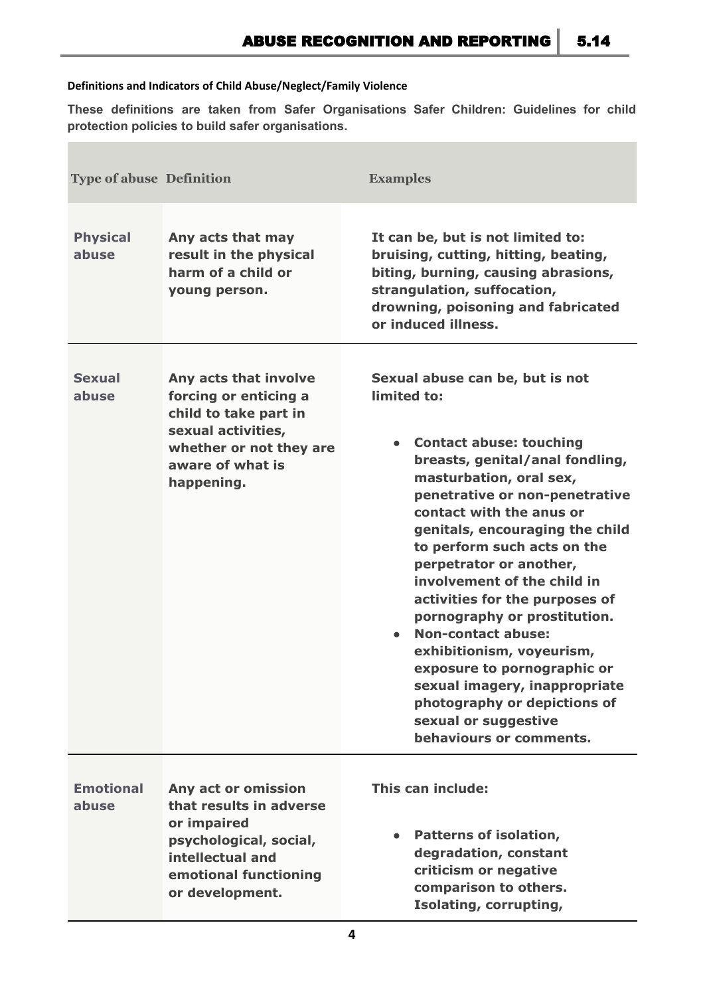## **Definitions and Indicators of Child Abuse/Neglect/Family Violence**

**These definitions are taken from Safer Organisations Safer Children: Guidelines for child protection policies to build safer organisations.**

| <b>Type of abuse Definition</b> |                                                                                                                                                            | <b>Examples</b>                                                                                                                                                                                                                                                                                                                                                                                                                                                                                                                                                                                                         |
|---------------------------------|------------------------------------------------------------------------------------------------------------------------------------------------------------|-------------------------------------------------------------------------------------------------------------------------------------------------------------------------------------------------------------------------------------------------------------------------------------------------------------------------------------------------------------------------------------------------------------------------------------------------------------------------------------------------------------------------------------------------------------------------------------------------------------------------|
| <b>Physical</b><br>abuse        | Any acts that may<br>result in the physical<br>harm of a child or<br>young person.                                                                         | It can be, but is not limited to:<br>bruising, cutting, hitting, beating,<br>biting, burning, causing abrasions,<br>strangulation, suffocation,<br>drowning, poisoning and fabricated<br>or induced illness.                                                                                                                                                                                                                                                                                                                                                                                                            |
| <b>Sexual</b><br>abuse          | Any acts that involve<br>forcing or enticing a<br>child to take part in<br>sexual activities,<br>whether or not they are<br>aware of what is<br>happening. | Sexual abuse can be, but is not<br>limited to:<br><b>Contact abuse: touching</b><br>breasts, genital/anal fondling,<br>masturbation, oral sex,<br>penetrative or non-penetrative<br>contact with the anus or<br>genitals, encouraging the child<br>to perform such acts on the<br>perpetrator or another,<br>involvement of the child in<br>activities for the purposes of<br>pornography or prostitution.<br><b>Non-contact abuse:</b><br>exhibitionism, voyeurism,<br>exposure to pornographic or<br>sexual imagery, inappropriate<br>photography or depictions of<br>sexual or suggestive<br>behaviours or comments. |
| <b>Emotional</b><br>abuse       | Any act or omission<br>that results in adverse<br>or impaired<br>psychological, social,<br>intellectual and<br>emotional functioning<br>or development.    | This can include:<br>Patterns of isolation,<br>degradation, constant<br>criticism or negative<br>comparison to others.<br>Isolating, corrupting,                                                                                                                                                                                                                                                                                                                                                                                                                                                                        |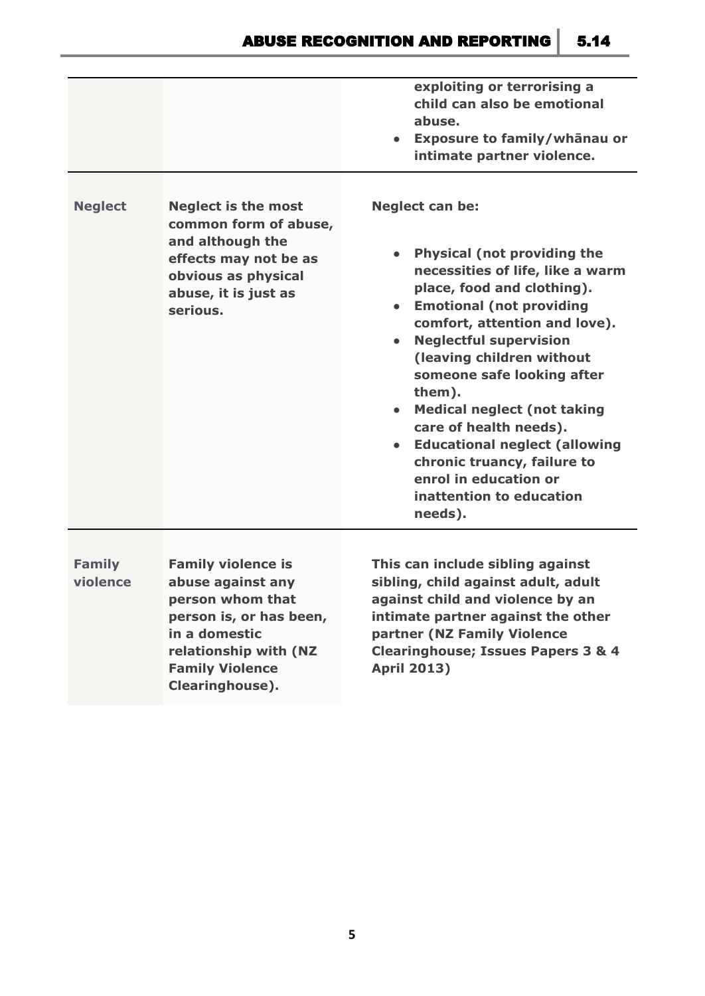|                           |                                                                                                                                                             | exploiting or terrorising a<br>child can also be emotional<br>abuse.<br>Exposure to family/whanau or<br>intimate partner violence.                                                                                                                                                                                                                                                                                                                                                                                           |
|---------------------------|-------------------------------------------------------------------------------------------------------------------------------------------------------------|------------------------------------------------------------------------------------------------------------------------------------------------------------------------------------------------------------------------------------------------------------------------------------------------------------------------------------------------------------------------------------------------------------------------------------------------------------------------------------------------------------------------------|
| <b>Neglect</b>            | <b>Neglect is the most</b><br>common form of abuse,<br>and although the<br>effects may not be as<br>obvious as physical<br>abuse, it is just as<br>serious. | <b>Neglect can be:</b><br><b>Physical (not providing the</b><br>necessities of life, like a warm<br>place, food and clothing).<br><b>Emotional (not providing</b><br>comfort, attention and love).<br><b>Neglectful supervision</b><br>(leaving children without<br>someone safe looking after<br>them).<br><b>Medical neglect (not taking</b><br>$\bullet$<br>care of health needs).<br><b>Educational neglect (allowing</b><br>chronic truancy, failure to<br>enrol in education or<br>inattention to education<br>needs). |
| <b>Family</b><br>violence | <b>Family violence is</b><br>abuse against any                                                                                                              | This can include sibling against<br>sibling, child against adult, adult                                                                                                                                                                                                                                                                                                                                                                                                                                                      |

**person whom that person is, or has been, in a domestic relationship with (NZ Family Violence Clearinghouse).**

**against child and violence by an intimate partner against the other partner (NZ Family Violence Clearinghouse; Issues Papers 3 & 4 April 2013)**